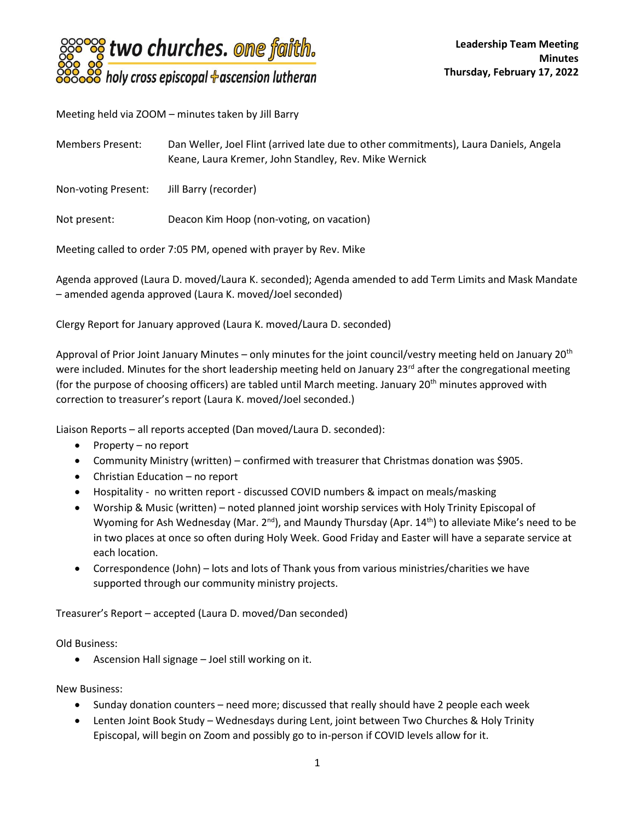

Meeting held via ZOOM – minutes taken by Jill Barry

Members Present: Dan Weller, Joel Flint (arrived late due to other commitments), Laura Daniels, Angela Keane, Laura Kremer, John Standley, Rev. Mike Wernick

Non-voting Present: Jill Barry (recorder)

Not present: Deacon Kim Hoop (non-voting, on vacation)

Meeting called to order 7:05 PM, opened with prayer by Rev. Mike

Agenda approved (Laura D. moved/Laura K. seconded); Agenda amended to add Term Limits and Mask Mandate – amended agenda approved (Laura K. moved/Joel seconded)

Clergy Report for January approved (Laura K. moved/Laura D. seconded)

Approval of Prior Joint January Minutes – only minutes for the joint council/vestry meeting held on January 20<sup>th</sup> were included. Minutes for the short leadership meeting held on January  $23^{rd}$  after the congregational meeting (for the purpose of choosing officers) are tabled until March meeting. January 20<sup>th</sup> minutes approved with correction to treasurer's report (Laura K. moved/Joel seconded.)

Liaison Reports – all reports accepted (Dan moved/Laura D. seconded):

- Property no report
- Community Ministry (written) confirmed with treasurer that Christmas donation was \$905.
- Christian Education no report
- Hospitality no written report discussed COVID numbers & impact on meals/masking
- Worship & Music (written) noted planned joint worship services with Holy Trinity Episcopal of Wyoming for Ash Wednesday (Mar.  $2^{nd}$ ), and Maundy Thursday (Apr. 14<sup>th</sup>) to alleviate Mike's need to be in two places at once so often during Holy Week. Good Friday and Easter will have a separate service at each location.
- Correspondence (John) lots and lots of Thank yous from various ministries/charities we have supported through our community ministry projects.

Treasurer's Report – accepted (Laura D. moved/Dan seconded)

Old Business:

• Ascension Hall signage – Joel still working on it.

New Business:

- Sunday donation counters need more; discussed that really should have 2 people each week
- Lenten Joint Book Study Wednesdays during Lent, joint between Two Churches & Holy Trinity Episcopal, will begin on Zoom and possibly go to in-person if COVID levels allow for it.